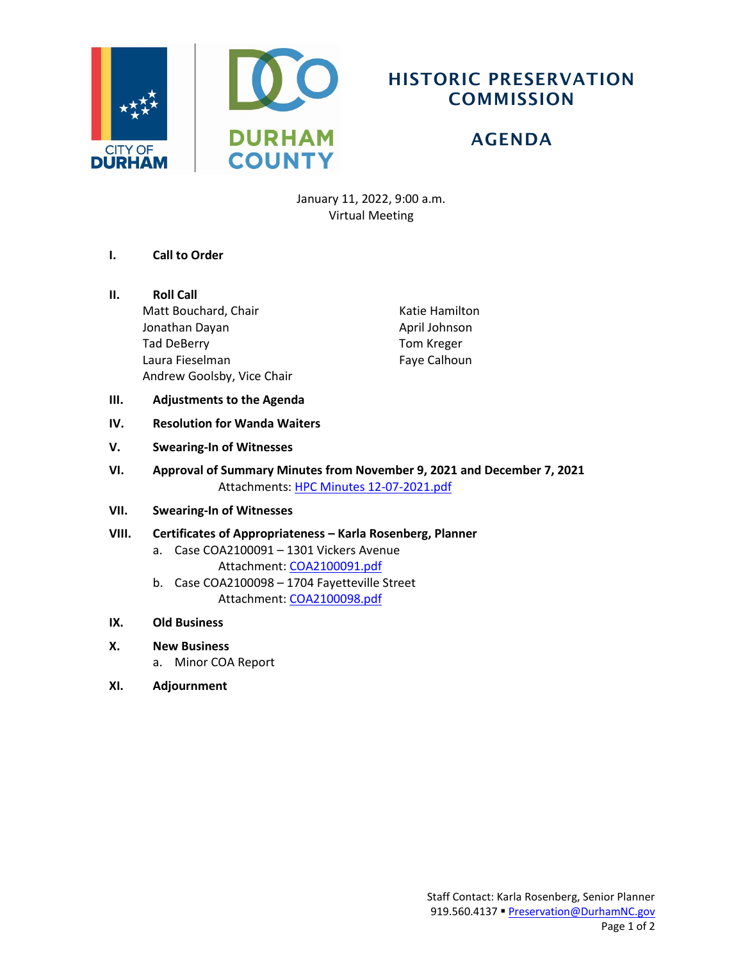

## HISTORIC PRESERVATION **COMMISSION**

# AGENDA

January 11, 2022, 9:00 a.m. Virtual Meeting

- **I. Call to Order**
- **II. Roll Call**

Matt Bouchard, Chair Jonathan Dayan Tad DeBerry Laura Fieselman Andrew Goolsby, Vice Chair Katie Hamilton April Johnson Tom Kreger Faye Calhoun

- **III. Adjustments to the Agenda**
- **IV. Resolution for Wanda Waiters**
- **V. Swearing-In of Witnesses**
- **VI. Approval of Summary Minutes from November 9, 2021 and December 7, 2021** Attachments: [HPC Minutes 12-07-2021.pdf](https://durhamnc.gov/DocumentCenter/View/41956/HPC-Minutes-12-7-2021-DRAFT)
- **VII. Swearing-In of Witnesses**
- **VIII. Certificates of Appropriateness – Karla Rosenberg, Planner**
	- a. Case COA2100091 1301 Vickers Avenue Attachment[: COA2100091.pdf](https://durhamnc.gov/DocumentCenter/View/41953/COA2100091)
	- b. Case COA2100098 1704 Fayetteville Street Attachment[: COA2100098.pdf](https://durhamnc.gov/DocumentCenter/View/41954/COA2100098)
- **IX. Old Business**
- **X. New Business**
	- a. Minor COA Report
- **XI. Adjournment**